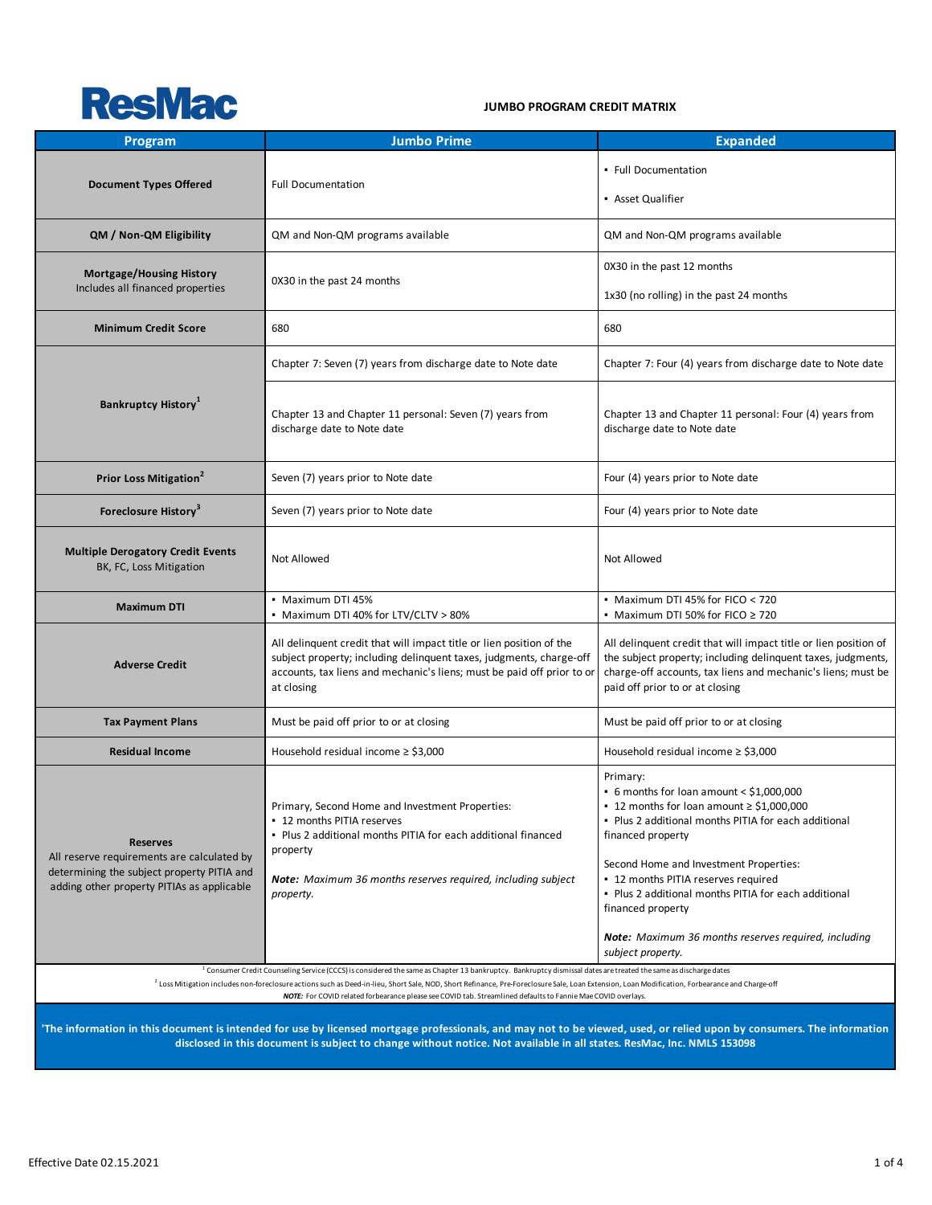

#### **JUMBO PROGRAM CREDIT MATRIX**

| <b>Program</b>                                                                                                                                            | <b>Jumbo Prime</b>                                                                                                                                                                                                                                                                                                                                                                      | <b>Expanded</b>                                                                                                                                                                                                                                                                                                                                                                                                                |  |  |  |  |
|-----------------------------------------------------------------------------------------------------------------------------------------------------------|-----------------------------------------------------------------------------------------------------------------------------------------------------------------------------------------------------------------------------------------------------------------------------------------------------------------------------------------------------------------------------------------|--------------------------------------------------------------------------------------------------------------------------------------------------------------------------------------------------------------------------------------------------------------------------------------------------------------------------------------------------------------------------------------------------------------------------------|--|--|--|--|
| <b>Document Types Offered</b>                                                                                                                             | <b>Full Documentation</b>                                                                                                                                                                                                                                                                                                                                                               | • Full Documentation<br>• Asset Qualifier                                                                                                                                                                                                                                                                                                                                                                                      |  |  |  |  |
| QM / Non-QM Eligibility                                                                                                                                   | QM and Non-QM programs available                                                                                                                                                                                                                                                                                                                                                        | QM and Non-QM programs available                                                                                                                                                                                                                                                                                                                                                                                               |  |  |  |  |
| <b>Mortgage/Housing History</b><br>Includes all financed properties                                                                                       | 0X30 in the past 24 months                                                                                                                                                                                                                                                                                                                                                              | 0X30 in the past 12 months<br>1x30 (no rolling) in the past 24 months                                                                                                                                                                                                                                                                                                                                                          |  |  |  |  |
| <b>Minimum Credit Score</b>                                                                                                                               | 680                                                                                                                                                                                                                                                                                                                                                                                     | 680                                                                                                                                                                                                                                                                                                                                                                                                                            |  |  |  |  |
|                                                                                                                                                           | Chapter 7: Seven (7) years from discharge date to Note date                                                                                                                                                                                                                                                                                                                             | Chapter 7: Four (4) years from discharge date to Note date                                                                                                                                                                                                                                                                                                                                                                     |  |  |  |  |
| <b>Bankruptcy History</b> <sup>1</sup>                                                                                                                    | Chapter 13 and Chapter 11 personal: Seven (7) years from<br>discharge date to Note date                                                                                                                                                                                                                                                                                                 | Chapter 13 and Chapter 11 personal: Four (4) years from<br>discharge date to Note date                                                                                                                                                                                                                                                                                                                                         |  |  |  |  |
| Prior Loss Mitigation <sup>2</sup>                                                                                                                        | Seven (7) years prior to Note date                                                                                                                                                                                                                                                                                                                                                      | Four (4) years prior to Note date                                                                                                                                                                                                                                                                                                                                                                                              |  |  |  |  |
| Foreclosure History <sup>3</sup>                                                                                                                          | Seven (7) years prior to Note date                                                                                                                                                                                                                                                                                                                                                      | Four (4) years prior to Note date                                                                                                                                                                                                                                                                                                                                                                                              |  |  |  |  |
| <b>Multiple Derogatory Credit Events</b><br>BK, FC, Loss Mitigation                                                                                       | Not Allowed                                                                                                                                                                                                                                                                                                                                                                             | Not Allowed                                                                                                                                                                                                                                                                                                                                                                                                                    |  |  |  |  |
| <b>Maximum DTI</b>                                                                                                                                        | • Maximum DTI 45%<br>• Maximum DTI 40% for LTV/CLTV > 80%                                                                                                                                                                                                                                                                                                                               | • Maximum DTI 45% for FICO < 720<br>• Maximum DTI 50% for FICO $\geq$ 720                                                                                                                                                                                                                                                                                                                                                      |  |  |  |  |
| <b>Adverse Credit</b>                                                                                                                                     | All delinquent credit that will impact title or lien position of the<br>subject property; including delinquent taxes, judgments, charge-off<br>accounts, tax liens and mechanic's liens; must be paid off prior to or<br>at closing                                                                                                                                                     | All delinquent credit that will impact title or lien position of<br>the subject property; including delinquent taxes, judgments,<br>charge-off accounts, tax liens and mechanic's liens; must be<br>paid off prior to or at closing                                                                                                                                                                                            |  |  |  |  |
| <b>Tax Payment Plans</b>                                                                                                                                  | Must be paid off prior to or at closing                                                                                                                                                                                                                                                                                                                                                 | Must be paid off prior to or at closing                                                                                                                                                                                                                                                                                                                                                                                        |  |  |  |  |
| <b>Residual Income</b>                                                                                                                                    | Household residual income $\ge$ \$3,000                                                                                                                                                                                                                                                                                                                                                 | Household residual income $\ge$ \$3,000                                                                                                                                                                                                                                                                                                                                                                                        |  |  |  |  |
| <b>Reserves</b><br>All reserve requirements are calculated by<br>determining the subject property PITIA and<br>adding other property PITIAs as applicable | Primary, Second Home and Investment Properties:<br>- 12 months PITIA reserves<br>. Plus 2 additional months PITIA for each additional financed<br>property<br>Note: Maximum 36 months reserves required, including subject<br>property.                                                                                                                                                 | Primary:<br>• 6 months for loan amount < $$1,000,000$<br>■ 12 months for loan amount $\ge$ \$1,000,000<br>. Plus 2 additional months PITIA for each additional<br>financed property<br>Second Home and Investment Properties:<br>• 12 months PITIA reserves required<br>. Plus 2 additional months PITIA for each additional<br>financed property<br>Note: Maximum 36 months reserves required, including<br>subject property. |  |  |  |  |
|                                                                                                                                                           | <sup>1</sup> Consumer Credit Counseling Service (CCCS) is considered the same as Chapter 13 bankruptcy. Bankruptcy dismissal dates are treated the same as discharge dates<br><sup>2</sup> Loss Mitigation includes non-foreclosure actions such as Deed-in-lieu, Short Sale, NOD, Short Refinance, Pre-Foreclosure Sale, Loan Extension, Loan Modification, Forbearance and Charge-off |                                                                                                                                                                                                                                                                                                                                                                                                                                |  |  |  |  |
|                                                                                                                                                           | NOTE: For COVID related forbearance please see COVID tab. Streamlined defaults to Fannie Mae COVID overlays.<br>t is intonded for use by licensed mertange professionals, and may not to be viewed, used, or relied unon by s                                                                                                                                                           |                                                                                                                                                                                                                                                                                                                                                                                                                                |  |  |  |  |

**'The information in this document is intended for use by licensed mortgage professionals, and may not to be viewed, used, or relied upon by consumers. The information disclosed in this document is subject to change without notice. Not available in all states. ResMac, Inc. NMLS 153098**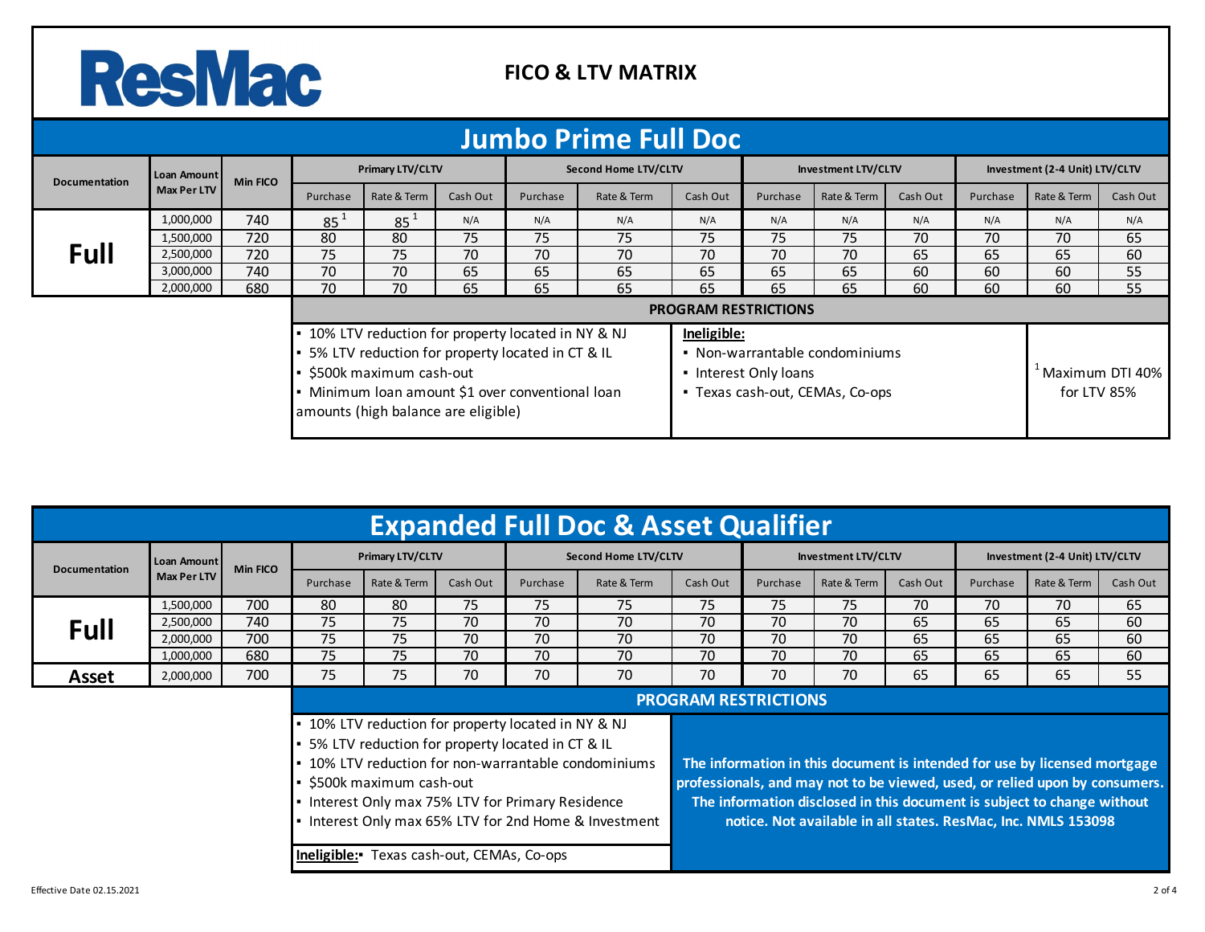## ResMac

 $\mathbb{R}^n$ 

#### **FICO & LTV MATRIX**

| <b>Jumbo Prime Full Doc</b>                                                                                                                                                                                                       |                            |                 |                  |             |          |                      |             |                       |                                                                   |             |          |                                |                                             |          |
|-----------------------------------------------------------------------------------------------------------------------------------------------------------------------------------------------------------------------------------|----------------------------|-----------------|------------------|-------------|----------|----------------------|-------------|-----------------------|-------------------------------------------------------------------|-------------|----------|--------------------------------|---------------------------------------------|----------|
| <b>Documentation</b>                                                                                                                                                                                                              | Loan Amount<br>Max Per LTV | <b>Min FICO</b> | Primary LTV/CLTV |             |          | Second Home LTV/CLTV |             |                       | Investment LTV/CLTV                                               |             |          | Investment (2-4 Unit) LTV/CLTV |                                             |          |
|                                                                                                                                                                                                                                   |                            |                 | Purchase         | Rate & Term | Cash Out | Purchase             | Rate & Term | Cash Out              | Purchase                                                          | Rate & Term | Cash Out | Purchase                       | Rate & Term                                 | Cash Out |
|                                                                                                                                                                                                                                   | 1,000,000                  | 740             | 85 <sup>1</sup>  | $85^1$      | N/A      | N/A                  | N/A         | N/A                   | N/A                                                               | N/A         | N/A      | N/A                            | N/A                                         | N/A      |
|                                                                                                                                                                                                                                   | 1,500,000                  | 720             | 80               | 80          | 75       | 75                   | 75          | 75                    | 75                                                                | 75          | 70       | 70                             | 70                                          | 65       |
| Full                                                                                                                                                                                                                              | 2,500,000                  | 720             | 75               | 75          | 70       | 70                   | 70          | 70                    | 70                                                                | 70          | 65       | 65                             | 65                                          | 60       |
|                                                                                                                                                                                                                                   | 3,000,000                  | 740             | 70               | 70          | 65       | 65                   | 65          | 65                    | 65                                                                | 65          | 60       | 60                             | 60                                          | 55       |
|                                                                                                                                                                                                                                   | 2,000,000                  | 680             | 70               | 70          | 65       | 65                   | 65          | 65                    | 65                                                                | 65          | 60       | 60                             | 60                                          | 55       |
| <b>PROGRAM RESTRICTIONS</b>                                                                                                                                                                                                       |                            |                 |                  |             |          |                      |             |                       |                                                                   |             |          |                                |                                             |          |
| • 10% LTV reduction for property located in NY & NJ<br>• 5% LTV reduction for property located in CT & IL<br>• \$500k maximum cash-out<br>• Minimum loan amount \$1 over conventional loan<br>amounts (high balance are eligible) |                            |                 |                  |             |          |                      | Ineligible: | • Interest Only loans | • Non-warrantable condominiums<br>• Texas cash-out, CEMAs, Co-ops |             |          |                                | <sup>4</sup> Maximum DTI 40%<br>for LTV 85% |          |

| <b>Expanded Full Doc &amp; Asset Qualifier</b>                                                                                                                                                                                                                                                                                                                                                                                                                                                                                                                                                                                                                    |                            |                 |                  |             |                      |          |                     |          |                             |                                |          |          |             |          |  |
|-------------------------------------------------------------------------------------------------------------------------------------------------------------------------------------------------------------------------------------------------------------------------------------------------------------------------------------------------------------------------------------------------------------------------------------------------------------------------------------------------------------------------------------------------------------------------------------------------------------------------------------------------------------------|----------------------------|-----------------|------------------|-------------|----------------------|----------|---------------------|----------|-----------------------------|--------------------------------|----------|----------|-------------|----------|--|
| <b>Documentation</b>                                                                                                                                                                                                                                                                                                                                                                                                                                                                                                                                                                                                                                              | Loan Amount<br>Max Per LTV | <b>Min FICO</b> | Primary LTV/CLTV |             | Second Home LTV/CLTV |          | Investment LTV/CLTV |          |                             | Investment (2-4 Unit) LTV/CLTV |          |          |             |          |  |
|                                                                                                                                                                                                                                                                                                                                                                                                                                                                                                                                                                                                                                                                   |                            |                 | Purchase         | Rate & Term | Cash Out             | Purchase | Rate & Term         | Cash Out | Purchase                    | Rate & Term                    | Cash Out | Purchase | Rate & Term | Cash Out |  |
|                                                                                                                                                                                                                                                                                                                                                                                                                                                                                                                                                                                                                                                                   | 1,500,000                  | 700             | 80               | 80          | 75                   | 75       | 75                  | 75       | 75                          | 75                             | 70       | 70       | 70          | 65       |  |
| Full                                                                                                                                                                                                                                                                                                                                                                                                                                                                                                                                                                                                                                                              | 2,500,000                  | 740             | 75               | 75          | 70                   | 70       | 70                  | 70       | 70                          | 70                             | 65       | 65       | 65          | 60       |  |
|                                                                                                                                                                                                                                                                                                                                                                                                                                                                                                                                                                                                                                                                   | 2,000,000                  | 700             | 75               | 75          | 70                   | 70       | 70                  | 70       | 70                          | 70                             | 65       | 65       | 65          | 60       |  |
|                                                                                                                                                                                                                                                                                                                                                                                                                                                                                                                                                                                                                                                                   | 1,000,000                  | 680             | 75               | 75          | 70                   | 70       | 70                  | 70       | 70                          | 70                             | 65       | 65       | 65          | 60       |  |
| Asset                                                                                                                                                                                                                                                                                                                                                                                                                                                                                                                                                                                                                                                             | 2,000,000                  | 700             | 75               | 75          | 70                   | 70       | 70                  | 70       | 70                          | 70                             | 65       | 65       | 65          | 55       |  |
|                                                                                                                                                                                                                                                                                                                                                                                                                                                                                                                                                                                                                                                                   |                            |                 |                  |             |                      |          |                     |          | <b>PROGRAM RESTRICTIONS</b> |                                |          |          |             |          |  |
| • 10% LTV reduction for property located in NY & NJ<br>• 5% LTV reduction for property located in CT & IL<br>• 10% LTV reduction for non-warrantable condominiums<br>The information in this document is intended for use by licensed mortgage<br>professionals, and may not to be viewed, used, or relied upon by consumers.<br>• \$500k maximum cash-out<br>The information disclosed in this document is subject to change without<br>• Interest Only max 75% LTV for Primary Residence<br>• Interest Only max 65% LTV for 2nd Home & Investment<br>notice. Not available in all states. ResMac, Inc. NMLS 153098<br>Ineligible: Texas cash-out, CEMAs, Co-ops |                            |                 |                  |             |                      |          |                     |          |                             |                                |          |          |             |          |  |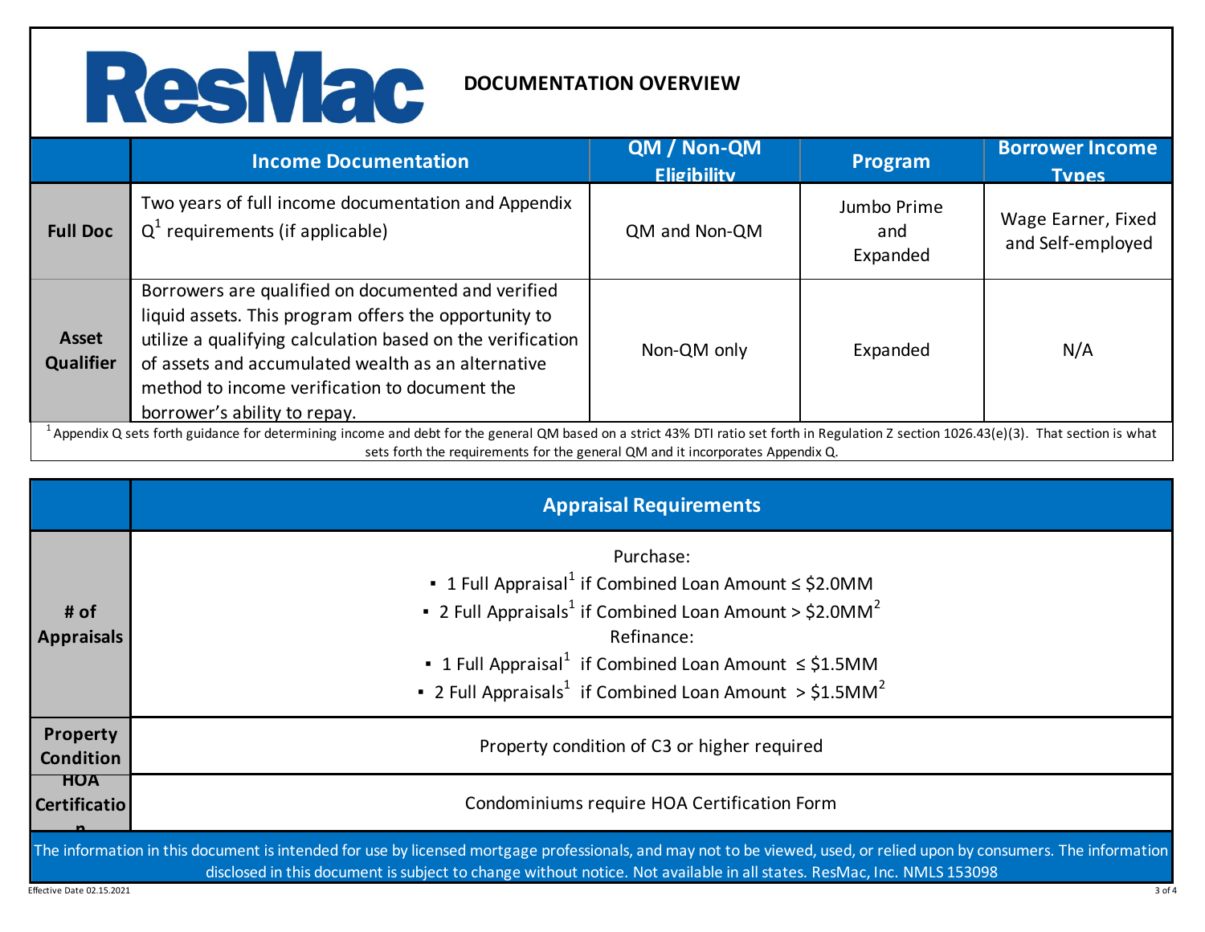

|                                                                                                                                                                                                                                                                                        | <b>Income Documentation</b>                                                                                                                                                                                                                                                                                      | QM / Non-QM<br><b>Eligibility</b> | Program                        | <b>Borrower Income</b><br><b>Types</b>  |  |
|----------------------------------------------------------------------------------------------------------------------------------------------------------------------------------------------------------------------------------------------------------------------------------------|------------------------------------------------------------------------------------------------------------------------------------------------------------------------------------------------------------------------------------------------------------------------------------------------------------------|-----------------------------------|--------------------------------|-----------------------------------------|--|
| <b>Full Doc</b>                                                                                                                                                                                                                                                                        | Two years of full income documentation and Appendix<br>$Q^1$ requirements (if applicable)                                                                                                                                                                                                                        | QM and Non-QM                     | Jumbo Prime<br>and<br>Expanded | Wage Earner, Fixed<br>and Self-employed |  |
| <b>Asset</b><br><b>Qualifier</b>                                                                                                                                                                                                                                                       | Borrowers are qualified on documented and verified<br>liquid assets. This program offers the opportunity to<br>utilize a qualifying calculation based on the verification<br>of assets and accumulated wealth as an alternative<br>method to income verification to document the<br>borrower's ability to repay. | Non-QM only                       | Expanded                       | N/A                                     |  |
| <sup>1</sup> Appendix Q sets forth guidance for determining income and debt for the general QM based on a strict 43% DTI ratio set forth in Regulation Z section 1026.43(e)(3). That section is what<br>sets forth the requirements for the general QM and it incorporates Appendix Q. |                                                                                                                                                                                                                                                                                                                  |                                   |                                |                                         |  |

|                                   | <b>Appraisal Requirements</b>                                                                                                                                                                                                                                                                                                            |
|-----------------------------------|------------------------------------------------------------------------------------------------------------------------------------------------------------------------------------------------------------------------------------------------------------------------------------------------------------------------------------------|
| # of<br><b>Appraisals</b>         | Purchase:<br>• 1 Full Appraisal <sup>1</sup> if Combined Loan Amount $\leq$ \$2.0MM<br>• 2 Full Appraisals <sup>1</sup> if Combined Loan Amount > $$2.0MM2$<br>Refinance:<br>• 1 Full Appraisal <sup>1</sup> if Combined Loan Amount $\leq$ \$1.5MM<br>• 2 Full Appraisals <sup>1</sup> if Combined Loan Amount > $$1.5$ MM <sup>2</sup> |
| Property<br><b>Condition</b>      | Property condition of C3 or higher required                                                                                                                                                                                                                                                                                              |
| <b>HOA</b><br><b>Certificatio</b> | Condominiums require HOA Certification Form                                                                                                                                                                                                                                                                                              |
| Effective Date 02.15.2021         | The information in this document is intended for use by licensed mortgage professionals, and may not to be viewed, used, or relied upon by consumers. The information<br>disclosed in this document is subject to change without notice. Not available in all states. ResMac, Inc. NMLS 153098<br>3 of 4                                 |